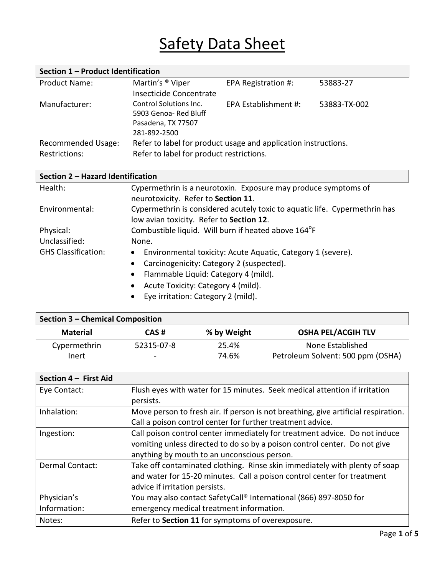# Safety Data Sheet

| Section 1 - Product Identification         |                                                                                                            |                      |              |  |
|--------------------------------------------|------------------------------------------------------------------------------------------------------------|----------------------|--------------|--|
| <b>Product Name:</b>                       | Martin's <sup>®</sup> Viper<br>Insecticide Concentrate                                                     | EPA Registration #:  | 53883-27     |  |
| Manufacturer:                              | Control Solutions Inc.<br>5903 Genoa- Red Bluff<br>Pasadena, TX 77507<br>281-892-2500                      | EPA Establishment #: | 53883-TX-002 |  |
| Recommended Usage:<br><b>Restrictions:</b> | Refer to label for product usage and application instructions.<br>Refer to label for product restrictions. |                      |              |  |

| Section 2 - Hazard Identification |                                                                            |  |  |
|-----------------------------------|----------------------------------------------------------------------------|--|--|
| Health:                           | Cypermethrin is a neurotoxin. Exposure may produce symptoms of             |  |  |
|                                   | neurotoxicity. Refer to Section 11.                                        |  |  |
| Environmental:                    | Cypermethrin is considered acutely toxic to aquatic life. Cypermethrin has |  |  |
|                                   | low avian toxicity. Refer to Section 12.                                   |  |  |
| Physical:                         | Combustible liquid. Will burn if heated above 164°F                        |  |  |
| Unclassified:                     | None.                                                                      |  |  |
| <b>GHS Classification:</b>        | Environmental toxicity: Acute Aquatic, Category 1 (severe).<br>$\bullet$   |  |  |
|                                   | Carcinogenicity: Category 2 (suspected).<br>$\bullet$                      |  |  |
|                                   | Flammable Liquid: Category 4 (mild).<br>$\bullet$                          |  |  |
|                                   | Acute Toxicity: Category 4 (mild).<br>$\bullet$                            |  |  |
|                                   | Eye irritation: Category 2 (mild).<br>$\bullet$                            |  |  |

| Section 3 – Chemical Composition |            |             |                                   |  |
|----------------------------------|------------|-------------|-----------------------------------|--|
| <b>Material</b>                  | CAS#       | % by Weight | <b>OSHA PEL/ACGIH TLV</b>         |  |
| Cypermethrin                     | 52315-07-8 | 25.4%       | None Established                  |  |
| Inert                            | -          | 74.6%       | Petroleum Solvent: 500 ppm (OSHA) |  |

| Section 4 - First Aid       |                                                                                                                                                                                                        |
|-----------------------------|--------------------------------------------------------------------------------------------------------------------------------------------------------------------------------------------------------|
| Eye Contact:                | Flush eyes with water for 15 minutes. Seek medical attention if irritation<br>persists.                                                                                                                |
| Inhalation:                 | Move person to fresh air. If person is not breathing, give artificial respiration.<br>Call a poison control center for further treatment advice.                                                       |
| Ingestion:                  | Call poison control center immediately for treatment advice. Do not induce<br>vomiting unless directed to do so by a poison control center. Do not give<br>anything by mouth to an unconscious person. |
| <b>Dermal Contact:</b>      | Take off contaminated clothing. Rinse skin immediately with plenty of soap<br>and water for 15-20 minutes. Call a poison control center for treatment<br>advice if irritation persists.                |
| Physician's<br>Information: | You may also contact SafetyCall® International (866) 897-8050 for<br>emergency medical treatment information.                                                                                          |
| Notes:                      | Refer to Section 11 for symptoms of overexposure.                                                                                                                                                      |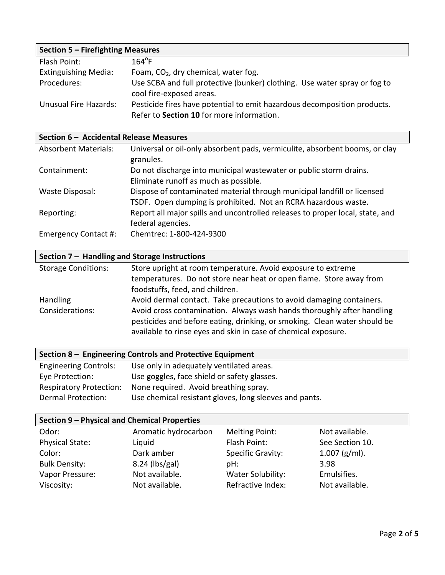| Section 5 - Firefighting Measures |                                                                                                                       |  |  |
|-----------------------------------|-----------------------------------------------------------------------------------------------------------------------|--|--|
| Flash Point:                      | $164^{\circ}$ F                                                                                                       |  |  |
| <b>Extinguishing Media:</b>       | Foam, CO <sub>2</sub> , dry chemical, water fog.                                                                      |  |  |
| Procedures:                       | Use SCBA and full protective (bunker) clothing. Use water spray or fog to<br>cool fire-exposed areas.                 |  |  |
| Unusual Fire Hazards:             | Pesticide fires have potential to emit hazardous decomposition products.<br>Refer to Section 10 for more information. |  |  |

| Section 6 - Accidental Release Measures |                                                                                                                                           |  |  |
|-----------------------------------------|-------------------------------------------------------------------------------------------------------------------------------------------|--|--|
| <b>Absorbent Materials:</b>             | Universal or oil-only absorbent pads, vermiculite, absorbent booms, or clay<br>granules.                                                  |  |  |
| Containment:                            | Do not discharge into municipal wastewater or public storm drains.<br>Eliminate runoff as much as possible.                               |  |  |
| Waste Disposal:                         | Dispose of contaminated material through municipal landfill or licensed<br>TSDF. Open dumping is prohibited. Not an RCRA hazardous waste. |  |  |
| Reporting:                              | Report all major spills and uncontrolled releases to proper local, state, and<br>federal agencies.                                        |  |  |
| Emergency Contact #:                    | Chemtrec: 1-800-424-9300                                                                                                                  |  |  |

## **Section 7 – Handling and Storage Instructions**

| <b>Storage Conditions:</b> | Store upright at room temperature. Avoid exposure to extreme              |
|----------------------------|---------------------------------------------------------------------------|
|                            | temperatures. Do not store near heat or open flame. Store away from       |
|                            | foodstuffs, feed, and children.                                           |
| <b>Handling</b>            | Avoid dermal contact. Take precautions to avoid damaging containers.      |
| Considerations:            | Avoid cross contamination. Always wash hands thoroughly after handling    |
|                            | pesticides and before eating, drinking, or smoking. Clean water should be |
|                            | available to rinse eyes and skin in case of chemical exposure.            |
|                            |                                                                           |

#### **Section 8 – Engineering Controls and Protective Equipment**

| <b>Engineering Controls:</b>   | Use only in adequately ventilated areas.               |
|--------------------------------|--------------------------------------------------------|
| Eye Protection:                | Use goggles, face shield or safety glasses.            |
| <b>Respiratory Protection:</b> | None required. Avoid breathing spray.                  |
| Dermal Protection:             | Use chemical resistant gloves, long sleeves and pants. |

#### **Section 9 – Physical and Chemical Properties**

| Aromatic hydrocarbon | Melting Point:           | Not available.  |
|----------------------|--------------------------|-----------------|
| Liquid               | Flash Point:             | See Section 10. |
| Dark amber           | <b>Specific Gravity:</b> | $1.007$ (g/ml). |
| $8.24$ (lbs/gal)     | pH:                      | 3.98            |
| Not available.       | Water Solubility:        | Emulsifies.     |
| Not available.       | Refractive Index:        | Not available.  |
|                      |                          |                 |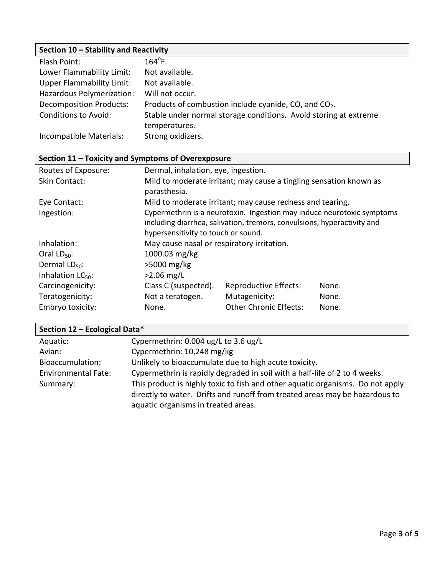### **Section 10 – Stability and Reactivity**

| Flash Point:                     | $164^{\circ}$ F.                                                  |
|----------------------------------|-------------------------------------------------------------------|
| Lower Flammability Limit:        | Not available.                                                    |
| <b>Upper Flammability Limit:</b> | Not available.                                                    |
| Hazardous Polymerization:        | Will not occur.                                                   |
| <b>Decomposition Products:</b>   | Products of combustion include cyanide, CO, and CO <sub>2</sub> . |
| <b>Conditions to Avoid:</b>      | Stable under normal storage conditions. Avoid storing at extreme  |
|                                  | temperatures.                                                     |
| Incompatible Materials:          | Strong oxidizers.                                                 |

| Section 11 - Toxicity and Symptoms of Overexposure |                                                                                                                                                                                          |                                            |       |  |
|----------------------------------------------------|------------------------------------------------------------------------------------------------------------------------------------------------------------------------------------------|--------------------------------------------|-------|--|
| Routes of Exposure:                                | Dermal, inhalation, eye, ingestion.                                                                                                                                                      |                                            |       |  |
| Skin Contact:                                      | Mild to moderate irritant; may cause a tingling sensation known as<br>parasthesia.                                                                                                       |                                            |       |  |
| Eye Contact:                                       | Mild to moderate irritant; may cause redness and tearing.                                                                                                                                |                                            |       |  |
| Ingestion:                                         | Cypermethrin is a neurotoxin. Ingestion may induce neurotoxic symptoms<br>including diarrhea, salivation, tremors, convulsions, hyperactivity and<br>hypersensitivity to touch or sound. |                                            |       |  |
| Inhalation:                                        |                                                                                                                                                                                          | May cause nasal or respiratory irritation. |       |  |
| Oral $LD_{50}$ :                                   | 1000.03 mg/kg                                                                                                                                                                            |                                            |       |  |
| Dermal $LD_{50}$ :                                 | $>5000$ mg/kg                                                                                                                                                                            |                                            |       |  |
| Inhalation $LC_{50}$ :                             | $>2.06$ mg/L                                                                                                                                                                             |                                            |       |  |
| Carcinogenicity:                                   | Class C (suspected).                                                                                                                                                                     | <b>Reproductive Effects:</b>               | None. |  |
| Teratogenicity:                                    | Not a teratogen.                                                                                                                                                                         | Mutagenicity:                              | None. |  |
| Embryo toxicity:                                   | None.                                                                                                                                                                                    | <b>Other Chronic Effects:</b>              | None. |  |

| Section 12 - Ecological Data* |                                                                                                                                                               |  |  |
|-------------------------------|---------------------------------------------------------------------------------------------------------------------------------------------------------------|--|--|
| Aquatic:                      | Cypermethrin: 0.004 ug/L to 3.6 ug/L                                                                                                                          |  |  |
| Avian:                        | Cypermethrin: 10,248 mg/kg                                                                                                                                    |  |  |
| Bioaccumulation:              | Unlikely to bioaccumulate due to high acute toxicity.                                                                                                         |  |  |
| Environmental Fate:           | Cypermethrin is rapidly degraded in soil with a half-life of 2 to 4 weeks.                                                                                    |  |  |
| Summary:                      | This product is highly toxic to fish and other aquatic organisms. Do not apply<br>directly to water. Drifts and runoff from treated areas may be hazardous to |  |  |
|                               | aquatic organisms in treated areas.                                                                                                                           |  |  |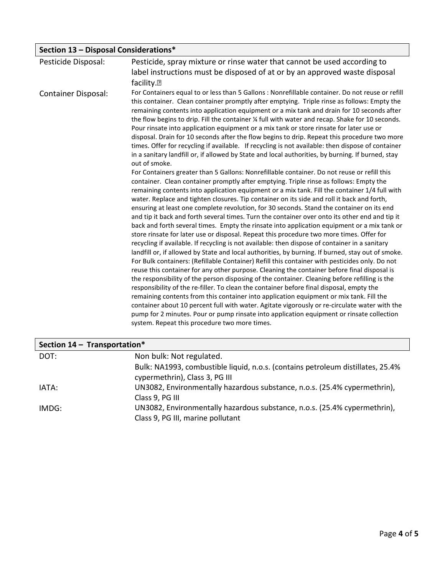| Section 13 - Disposal Considerations* |                                                                                                                                                                                                                                                                                                                                                                                                                                                                                                                                                                                                                                                                                                                                                                                                                                                                                                                                                                                                                                                                                                                                                                                                                                                                                                                                                                                                                                                                                                                                                                                                                                                                                                                                                                                                                                                                                                                                                                                                                                                                                                                                                                                                                                                                                                                                                                                                                                                                                                                                                          |
|---------------------------------------|----------------------------------------------------------------------------------------------------------------------------------------------------------------------------------------------------------------------------------------------------------------------------------------------------------------------------------------------------------------------------------------------------------------------------------------------------------------------------------------------------------------------------------------------------------------------------------------------------------------------------------------------------------------------------------------------------------------------------------------------------------------------------------------------------------------------------------------------------------------------------------------------------------------------------------------------------------------------------------------------------------------------------------------------------------------------------------------------------------------------------------------------------------------------------------------------------------------------------------------------------------------------------------------------------------------------------------------------------------------------------------------------------------------------------------------------------------------------------------------------------------------------------------------------------------------------------------------------------------------------------------------------------------------------------------------------------------------------------------------------------------------------------------------------------------------------------------------------------------------------------------------------------------------------------------------------------------------------------------------------------------------------------------------------------------------------------------------------------------------------------------------------------------------------------------------------------------------------------------------------------------------------------------------------------------------------------------------------------------------------------------------------------------------------------------------------------------------------------------------------------------------------------------------------------------|
| Pesticide Disposal:                   | Pesticide, spray mixture or rinse water that cannot be used according to<br>label instructions must be disposed of at or by an approved waste disposal<br>facility. <sup>[7]</sup>                                                                                                                                                                                                                                                                                                                                                                                                                                                                                                                                                                                                                                                                                                                                                                                                                                                                                                                                                                                                                                                                                                                                                                                                                                                                                                                                                                                                                                                                                                                                                                                                                                                                                                                                                                                                                                                                                                                                                                                                                                                                                                                                                                                                                                                                                                                                                                       |
| <b>Container Disposal:</b>            | For Containers equal to or less than 5 Gallons : Nonrefillable container. Do not reuse or refill<br>this container. Clean container promptly after emptying. Triple rinse as follows: Empty the<br>remaining contents into application equipment or a mix tank and drain for 10 seconds after<br>the flow begins to drip. Fill the container 1/4 full with water and recap. Shake for 10 seconds.<br>Pour rinsate into application equipment or a mix tank or store rinsate for later use or<br>disposal. Drain for 10 seconds after the flow begins to drip. Repeat this procedure two more<br>times. Offer for recycling if available. If recycling is not available: then dispose of container<br>in a sanitary landfill or, if allowed by State and local authorities, by burning. If burned, stay<br>out of smoke.<br>For Containers greater than 5 Gallons: Nonrefillable container. Do not reuse or refill this<br>container. Clean container promptly after emptying. Triple rinse as follows: Empty the<br>remaining contents into application equipment or a mix tank. Fill the container 1/4 full with<br>water. Replace and tighten closures. Tip container on its side and roll it back and forth,<br>ensuring at least one complete revolution, for 30 seconds. Stand the container on its end<br>and tip it back and forth several times. Turn the container over onto its other end and tip it<br>back and forth several times. Empty the rinsate into application equipment or a mix tank or<br>store rinsate for later use or disposal. Repeat this procedure two more times. Offer for<br>recycling if available. If recycling is not available: then dispose of container in a sanitary<br>landfill or, if allowed by State and local authorities, by burning. If burned, stay out of smoke.<br>For Bulk containers: (Refillable Container) Refill this container with pesticides only. Do not<br>reuse this container for any other purpose. Cleaning the container before final disposal is<br>the responsibility of the person disposing of the container. Cleaning before refilling is the<br>responsibility of the re-filler. To clean the container before final disposal, empty the<br>remaining contents from this container into application equipment or mix tank. Fill the<br>container about 10 percent full with water. Agitate vigorously or re-circulate water with the<br>pump for 2 minutes. Pour or pump rinsate into application equipment or rinsate collection<br>system. Repeat this procedure two more times. |

| Section 14 - Transportation* |                                                                                                                   |  |
|------------------------------|-------------------------------------------------------------------------------------------------------------------|--|
| DOT:                         | Non bulk: Not regulated.                                                                                          |  |
|                              | Bulk: NA1993, combustible liquid, n.o.s. (contains petroleum distillates, 25.4%<br>cypermethrin), Class 3, PG III |  |
| IATA:                        | UN3082, Environmentally hazardous substance, n.o.s. (25.4% cypermethrin),<br>Class 9, PG III                      |  |
| IMDG:                        | UN3082, Environmentally hazardous substance, n.o.s. (25.4% cypermethrin),<br>Class 9, PG III, marine pollutant    |  |